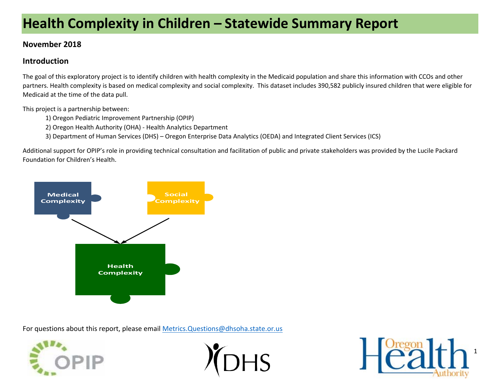# **Health Complexity in Children – Statewide Summary Report**

## **November 2018**

## **Introduction**

The goal of this exploratory project is to identify children with health complexity in the Medicaid population and share this information with CCOs and other partners. Health complexity is based on medical complexity and social complexity. This dataset includes 390,582 publicly insured children that were eligible for Medicaid at the time of the data pull.

This project is a partnership between:

- 1) Oregon Pediatric Improvement Partnership (OPIP)
- 2) Oregon Health Authority (OHA) ‐ Health Analytics Department
- 3) Department of Human Services (DHS) Oregon Enterprise Data Analytics (OEDA) and Integrated Client Services (ICS)

Additional support for OPIP's role in providing technical consultation and facilitation of public and private stakeholders was provided by the Lucile Packard Foundation for Children's Health.



For questions about this report, please email Metrics. Questions@dhsoha.state.or.us





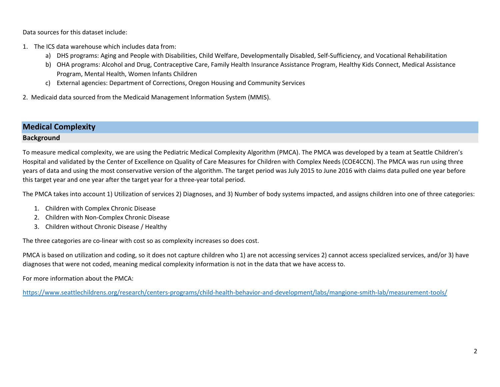Data sources for this dataset include:

- 1. The ICS data warehouse which includes data from:
	- a) DHS programs: Aging and People with Disabilities, Child Welfare, Developmentally Disabled, Self‐Sufficiency, and Vocational Rehabilitation
	- b) OHA programs: Alcohol and Drug, Contraceptive Care, Family Health Insurance Assistance Program, Healthy Kids Connect, Medical Assistance Program, Mental Health, Women Infants Children
	- c) External agencies: Department of Corrections, Oregon Housing and Community Services

2. Medicaid data sourced from the Medicaid Management Information System (MMIS).

## **Medical Complexity**

#### **Background**

To measure medical complexity, we are using the Pediatric Medical Complexity Algorithm (PMCA). The PMCA was developed by a team at Seattle Children's Hospital and validated by the Center of Excellence on Quality of Care Measures for Children with Complex Needs (COE4CCN). The PMCA was run using three years of data and using the most conservative version of the algorithm. The target period was July 2015 to June 2016 with claims data pulled one year before this target year and one year after the target year for a three‐year total period.

The PMCA takes into account 1) Utilization of services 2) Diagnoses, and 3) Number of body systems impacted, and assigns children into one of three categories:

- 1. Children with Complex Chronic Disease
- 2. Children with Non‐Complex Chronic Disease
- 3. Children without Chronic Disease / Healthy

The three categories are co-linear with cost so as complexity increases so does cost.

PMCA is based on utilization and coding, so it does not capture children who 1) are not accessing services 2) cannot access specialized services, and/or 3) have diagnoses that were not coded, meaning medical complexity information is not in the data that we have access to.

For more information about the PMCA:

https://www.seattlechildrens.org/research/centers‐programs/child‐health‐behavior‐and‐development/labs/mangione‐smith‐lab/measurement‐tools/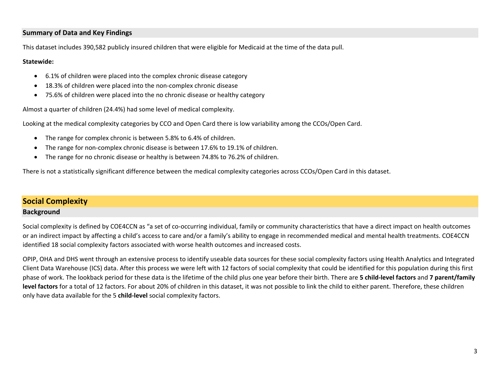#### **Summary of Data and Key Findings**

This dataset includes 390,582 publicly insured children that were eligible for Medicaid at the time of the data pull.

#### **Statewide:**

- $\bullet$ 6.1% of children were placed into the complex chronic disease category
- $\bullet$ 18.3% of children were placed into the non‐complex chronic disease
- $\bullet$ 75.6% of children were placed into the no chronic disease or healthy category

Almost a quarter of children (24.4%) had some level of medical complexity.

Looking at the medical complexity categories by CCO and Open Card there is low variability among the CCOs/Open Card.

- The range for complex chronic is between 5.8% to 6.4% of children.
- 0 The range for non-complex chronic disease is between 17.6% to 19.1% of children.
- 0 The range for no chronic disease or healthy is between 74.8% to 76.2% of children.

There is not a statistically significant difference between the medical complexity categories across CCOs/Open Card in this dataset.

## **Social Complexity Background**

Social complexity is defined by COE4CCN as "a set of co-occurring individual, family or community characteristics that have a direct impact on health outcomes or an indirect impact by affecting a child's access to care and/or a family's ability to engage in recommended medical and mental health treatments. COE4CCN identified 18 social complexity factors associated with worse health outcomes and increased costs.

OPIP, OHA and DHS went through an extensive process to identify useable data sources for these social complexity factors using Health Analytics and Integrated Client Data Warehouse (ICS) data. After this process we were left with 12 factors of social complexity that could be identified for this population during this first phase of work. The lookback period for these data is the lifetime of the child plus one year before their birth. There are **5 child‐level factors** and **7 parent/family**  level factors for a total of 12 factors. For about 20% of children in this dataset, it was not possible to link the child to either parent. Therefore, these children only have data available for the 5 **child‐level** social complexity factors.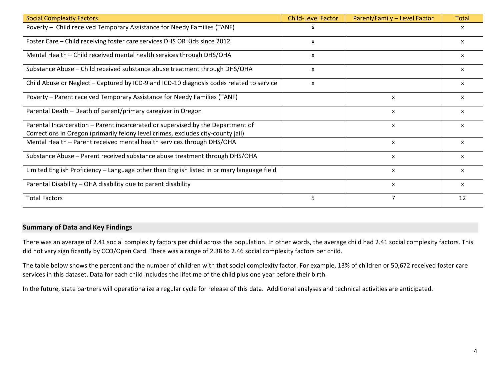| <b>Social Complexity Factors</b>                                                                                                                                    | <b>Child-Level Factor</b> | Parent/Family - Level Factor | <b>Total</b> |
|---------------------------------------------------------------------------------------------------------------------------------------------------------------------|---------------------------|------------------------------|--------------|
| Poverty - Child received Temporary Assistance for Needy Families (TANF)                                                                                             | x                         |                              | x            |
| Foster Care - Child receiving foster care services DHS OR Kids since 2012                                                                                           | X                         |                              | x            |
| Mental Health - Child received mental health services through DHS/OHA                                                                                               | X                         |                              | x            |
| Substance Abuse - Child received substance abuse treatment through DHS/OHA                                                                                          | X                         |                              | x            |
| Child Abuse or Neglect - Captured by ICD-9 and ICD-10 diagnosis codes related to service                                                                            | x                         |                              | x            |
| Poverty - Parent received Temporary Assistance for Needy Families (TANF)                                                                                            |                           | X                            | x            |
| Parental Death - Death of parent/primary caregiver in Oregon                                                                                                        |                           | X                            | x            |
| Parental Incarceration – Parent incarcerated or supervised by the Department of<br>Corrections in Oregon (primarily felony level crimes, excludes city-county jail) |                           | x                            | x            |
| Mental Health - Parent received mental health services through DHS/OHA                                                                                              |                           | X                            | x            |
| Substance Abuse - Parent received substance abuse treatment through DHS/OHA                                                                                         |                           | x                            | x            |
| Limited English Proficiency - Language other than English listed in primary language field                                                                          |                           | X                            | X            |
| Parental Disability - OHA disability due to parent disability                                                                                                       |                           | X                            | x            |
| <b>Total Factors</b>                                                                                                                                                | 5                         |                              | 12           |

#### **Summary of Data and Key Findings**

There was an average of 2.41 social complexity factors per child across the population. In other words, the average child had 2.41 social complexity factors. This did not vary significantly by CCO/Open Card. There was a range of 2.38 to 2.46 social complexity factors per child.

The table below shows the percent and the number of children with that social complexity factor. For example, 13% of children or 50,672 received foster care services in this dataset. Data for each child includes the lifetime of the child plus one year before their birth.

In the future, state partners will operationalize a regular cycle for release of this data. Additional analyses and technical activities are anticipated.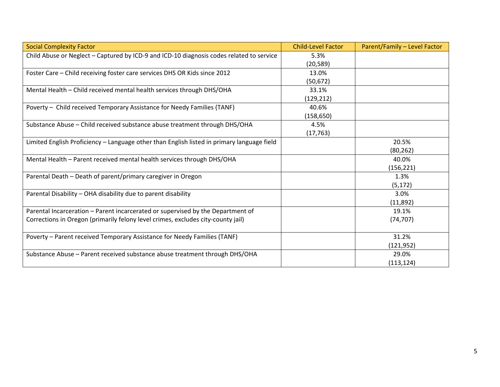| <b>Social Complexity Factor</b>                                                            | <b>Child-Level Factor</b> | Parent/Family - Level Factor |
|--------------------------------------------------------------------------------------------|---------------------------|------------------------------|
| Child Abuse or Neglect - Captured by ICD-9 and ICD-10 diagnosis codes related to service   | 5.3%                      |                              |
|                                                                                            | (20, 589)                 |                              |
| Foster Care - Child receiving foster care services DHS OR Kids since 2012                  | 13.0%                     |                              |
|                                                                                            | (50, 672)                 |                              |
| Mental Health - Child received mental health services through DHS/OHA                      | 33.1%                     |                              |
|                                                                                            | (129, 212)                |                              |
| Poverty - Child received Temporary Assistance for Needy Families (TANF)                    | 40.6%                     |                              |
|                                                                                            | (158, 650)                |                              |
| Substance Abuse - Child received substance abuse treatment through DHS/OHA                 | 4.5%                      |                              |
|                                                                                            | (17, 763)                 |                              |
| Limited English Proficiency - Language other than English listed in primary language field |                           | 20.5%                        |
|                                                                                            |                           | (80, 262)                    |
| Mental Health - Parent received mental health services through DHS/OHA                     |                           | 40.0%                        |
|                                                                                            |                           | (156, 221)                   |
| Parental Death - Death of parent/primary caregiver in Oregon                               |                           | 1.3%                         |
|                                                                                            |                           | (5, 172)                     |
| Parental Disability - OHA disability due to parent disability                              |                           | 3.0%                         |
|                                                                                            |                           | (11,892)                     |
| Parental Incarceration - Parent incarcerated or supervised by the Department of            |                           | 19.1%                        |
| Corrections in Oregon (primarily felony level crimes, excludes city-county jail)           |                           | (74, 707)                    |
|                                                                                            |                           |                              |
| Poverty - Parent received Temporary Assistance for Needy Families (TANF)                   |                           | 31.2%                        |
|                                                                                            |                           | (121, 952)                   |
| Substance Abuse - Parent received substance abuse treatment through DHS/OHA                |                           | 29.0%                        |
|                                                                                            |                           | (113, 124)                   |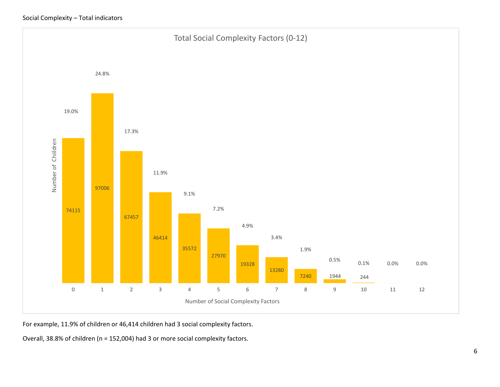

For example, 11.9% of children or 46,414 children had 3 social complexity factors.

Overall, 38.8% of children (n = 152,004) had 3 or more social complexity factors.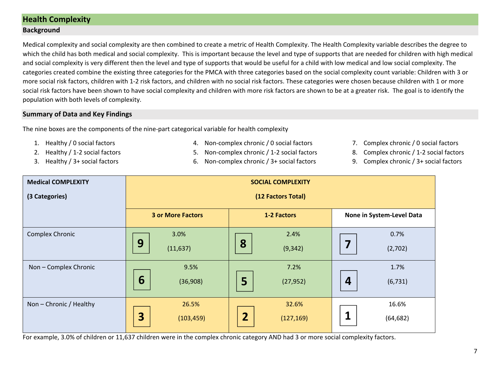## **Health Complexity**

#### **Background**

Medical complexity and social complexity are then combined to create a metric of Health Complexity. The Health Complexity variable describes the degree to which the child has both medical and social complexity. This is important because the level and type of supports that are needed for children with high medical and social complexity is very different then the level and type of supports that would be useful for a child with low medical and low social complexity. The categories created combine the existing three categories for the PMCA with three categories based on the social complexity count variable: Children with 3 or more social risk factors, children with 1-2 risk factors, and children with no social risk factors. These categories were chosen because children with 1 or more social risk factors have been shown to have social complexity and children with more risk factors are shown to be at a greater risk. The goal is to identify the population with both levels of complexity.

#### **Summary of Data and Key Findings**

The nine boxes are the components of the nine-part categorical variable for health complexity

- 1. Healthy / 0 social factors
- 2. Healthy / 1‐2 social factors
- 3. Healthy / 3+ social factors
- 4. Non‐complex chronic / 0 social factors
- 5. Non‐complex chronic / 1‐2 social factors
- 6. Non‐complex chronic / 3+ social factors
- 7. Complex chronic / 0 social factors
- 8.Complex chronic / 1‐2 social factors
- 9. Complex chronic / 3+ social factors

| <b>Medical COMPLEXITY</b> | <b>SOCIAL COMPLEXITY</b> |                              |                              |  |  |  |  |  |  |
|---------------------------|--------------------------|------------------------------|------------------------------|--|--|--|--|--|--|
| (3 Categories)            | (12 Factors Total)       |                              |                              |  |  |  |  |  |  |
|                           | <b>3 or More Factors</b> | 1-2 Factors                  | None in System-Level Data    |  |  |  |  |  |  |
| Complex Chronic           | 3.0%                     | 2.4%                         | 0.7%                         |  |  |  |  |  |  |
|                           | 9<br>(11, 637)           | 8<br>(9, 342)                | 7<br>(2,702)                 |  |  |  |  |  |  |
| Non - Complex Chronic     | 9.5%                     | 7.2%                         | 1.7%                         |  |  |  |  |  |  |
|                           | 6<br>(36,908)            | 5<br>(27, 952)               | $\boldsymbol{4}$<br>(6, 731) |  |  |  |  |  |  |
| Non - Chronic / Healthy   | 26.5%                    | 32.6%                        | 16.6%                        |  |  |  |  |  |  |
|                           | 3<br>(103, 459)          | $\overline{2}$<br>(127, 169) | (64, 682)                    |  |  |  |  |  |  |

For example, 3.0% of children or 11,637 children were in the complex chronic category AND had 3 or more social complexity factors.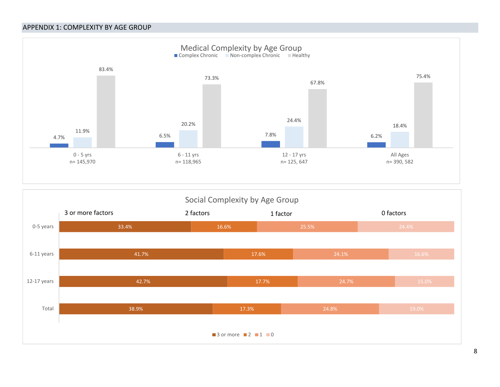#### APPENDIX 1: COMPLEXITY BY AGE GROUP



## Social Complexity by Age Group



8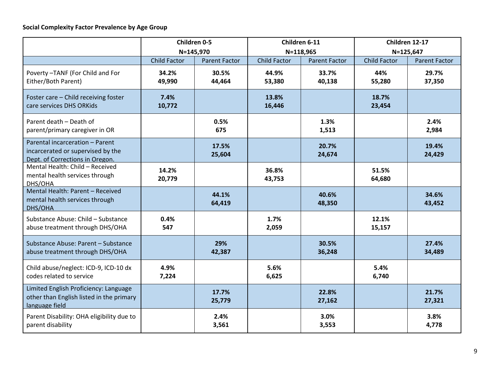|                                                                                                         | Children 0-5        |                      |                     | Children 6-11        | Children 12-17      |                      |  |
|---------------------------------------------------------------------------------------------------------|---------------------|----------------------|---------------------|----------------------|---------------------|----------------------|--|
|                                                                                                         | N=145,970           |                      | N=118,965           |                      |                     | N=125,647            |  |
|                                                                                                         | <b>Child Factor</b> | <b>Parent Factor</b> | <b>Child Factor</b> | <b>Parent Factor</b> | <b>Child Factor</b> | <b>Parent Factor</b> |  |
| Poverty-TANF (For Child and For<br>Either/Both Parent)                                                  | 34.2%<br>49,990     | 30.5%<br>44,464      | 44.9%<br>53,380     | 33.7%<br>40,138      | 44%<br>55,280       | 29.7%<br>37,350      |  |
| Foster care - Child receiving foster<br>care services DHS ORKids                                        | 7.4%<br>10,772      |                      | 13.8%<br>16,446     |                      | 18.7%<br>23,454     |                      |  |
| Parent death - Death of<br>parent/primary caregiver in OR                                               |                     | 0.5%<br>675          |                     | 1.3%<br>1,513        |                     | 2.4%<br>2,984        |  |
| Parental incarceration - Parent<br>incarcerated or supervised by the<br>Dept. of Corrections in Oregon. |                     | 17.5%<br>25,604      |                     | 20.7%<br>24,674      |                     | 19.4%<br>24,429      |  |
| Mental Health: Child - Received<br>mental health services through<br>DHS/OHA                            | 14.2%<br>20,779     |                      | 36.8%<br>43,753     |                      | 51.5%<br>64,680     |                      |  |
| Mental Health: Parent - Received<br>mental health services through<br>DHS/OHA                           |                     | 44.1%<br>64,419      |                     | 40.6%<br>48,350      |                     | 34.6%<br>43,452      |  |
| Substance Abuse: Child - Substance<br>abuse treatment through DHS/OHA                                   | 0.4%<br>547         |                      | 1.7%<br>2,059       |                      | 12.1%<br>15,157     |                      |  |
| Substance Abuse: Parent - Substance<br>abuse treatment through DHS/OHA                                  |                     | 29%<br>42,387        |                     | 30.5%<br>36,248      |                     | 27.4%<br>34,489      |  |
| Child abuse/neglect: ICD-9, ICD-10 dx<br>codes related to service                                       | 4.9%<br>7,224       |                      | 5.6%<br>6,625       |                      | 5.4%<br>6,740       |                      |  |
| Limited English Proficiency: Language<br>other than English listed in the primary<br>language field     |                     | 17.7%<br>25,779      |                     | 22.8%<br>27,162      |                     | 21.7%<br>27,321      |  |
| Parent Disability: OHA eligibility due to<br>parent disability                                          |                     | 2.4%<br>3,561        |                     | 3.0%<br>3,553        |                     | 3.8%<br>4,778        |  |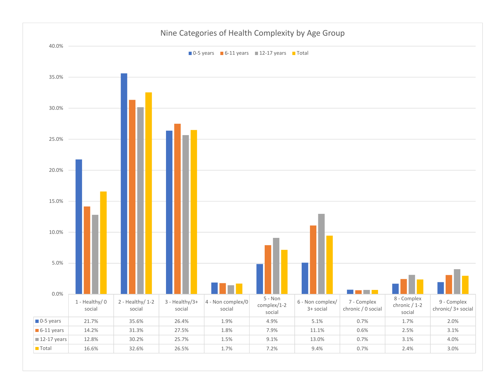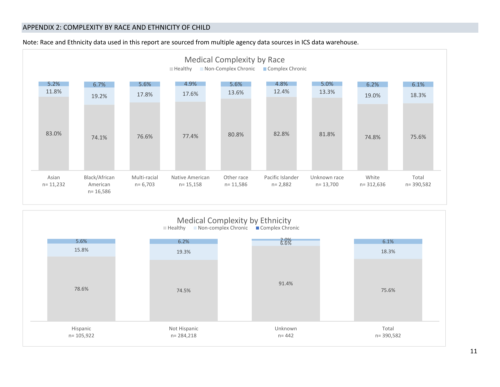#### APPENDIX 2: COMPLEXITY BY RACE AND ETHNICITY OF CHILD



Note: Race and Ethnicity data used in this report are sourced from multiple agency data sources in ICS data warehouse.

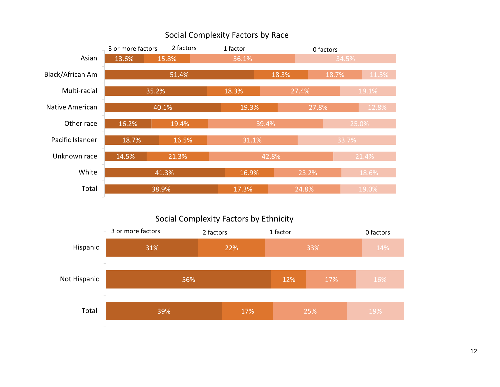## Social Complexity Factors by Race



## Social Complexity Factors by Ethnicity

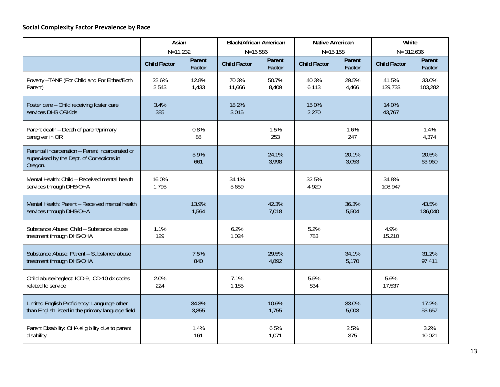#### **Social Complexity Factor Prevalence by Race**

|                                                                                                         | Asian               |                  | <b>Black/African American</b> |                  | <b>Native American</b> |                  | White               |                  |
|---------------------------------------------------------------------------------------------------------|---------------------|------------------|-------------------------------|------------------|------------------------|------------------|---------------------|------------------|
|                                                                                                         | $N = 11,232$        |                  | $N = 16,586$                  |                  | $N = 15, 158$          |                  | $N = 312,636$       |                  |
|                                                                                                         | <b>Child Factor</b> | Parent<br>Factor | <b>Child Factor</b>           | Parent<br>Factor | <b>Child Factor</b>    | Parent<br>Factor | <b>Child Factor</b> | Parent<br>Factor |
| Poverty - TANF (For Child and For Either/Both<br>Parent)                                                | 22.6%<br>2,543      | 12.8%<br>1,433   | 70.3%<br>11,666               | 50.7%<br>8,409   | 40.3%<br>6,113         | 29.5%<br>4,466   | 41.5%<br>129,733    | 33.0%<br>103,282 |
| Foster care - Child receiving foster care<br>services DHS ORKids                                        | 3.4%<br>385         |                  | 18.2%<br>3,015                |                  | 15.0%<br>2,270         |                  | 14.0%<br>43,767     |                  |
| Parent death - Death of parent/primary<br>caregiver in OR                                               |                     | 0.8%<br>88       |                               | 1.5%<br>253      |                        | 1.6%<br>247      |                     | 1.4%<br>4,374    |
| Parental incarceration - Parent incarcerated or<br>supervised by the Dept. of Corrections in<br>Oregon. |                     | 5.9%<br>661      |                               | 24.1%<br>3,998   |                        | 20.1%<br>3,053   |                     | 20.5%<br>63,960  |
| Mental Health: Child - Received mental health<br>services through DHS/OHA                               | 16.0%<br>1,795      |                  | 34.1%<br>5,659                |                  | 32.5%<br>4,920         |                  | 34.8%<br>108,947    |                  |
| Mental Health: Parent - Received mental health<br>services through DHS/OHA                              |                     | 13.9%<br>1,564   |                               | 42.3%<br>7,018   |                        | 36.3%<br>5,504   |                     | 43.5%<br>136,040 |
| Substance Abuse: Child - Substance abuse<br>treatment through DHS/OHA                                   | 1.1%<br>129         |                  | 6.2%<br>1,024                 |                  | 5.2%<br>783            |                  | 4.9%<br>15.210      |                  |
| Substance Abuse: Parent - Substance abuse<br>treatment through DHS/OHA                                  |                     | 7.5%<br>840      |                               | 29.5%<br>4,892   |                        | 34.1%<br>5,170   |                     | 31.2%<br>97,411  |
| Child abuse/neglect: ICD-9, ICD-10 dx codes<br>related to service                                       | 2.0%<br>224         |                  | 7.1%<br>1,185                 |                  | 5.5%<br>834            |                  | 5.6%<br>17,537      |                  |
| Limited English Proficiency: Language other<br>than English listed in the primary language field        |                     | 34.3%<br>3,855   |                               | 10.6%<br>1,755   |                        | 33.0%<br>5,003   |                     | 17.2%<br>53,657  |
| Parent Disability: OHA eligibility due to parent<br>disability                                          |                     | 1.4%<br>161      |                               | 6.5%<br>1,071    |                        | 2.5%<br>375      |                     | 3.2%<br>10,021   |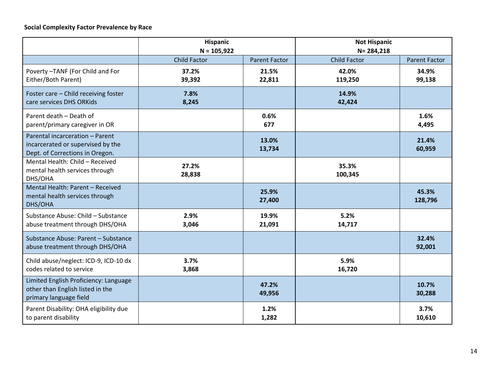|                                                                                                         | <b>Hispanic</b><br>$N = 105,922$ |                      | <b>Not Hispanic</b><br>$N = 284,218$ |                      |  |
|---------------------------------------------------------------------------------------------------------|----------------------------------|----------------------|--------------------------------------|----------------------|--|
|                                                                                                         | <b>Child Factor</b>              | <b>Parent Factor</b> | <b>Child Factor</b>                  | <b>Parent Factor</b> |  |
| Poverty-TANF (For Child and For<br>Either/Both Parent)                                                  | 37.2%<br>39,392                  | 21.5%<br>22,811      | 42.0%<br>119,250                     | 34.9%<br>99,138      |  |
| Foster care - Child receiving foster<br>care services DHS ORKids                                        | 7.8%<br>8,245                    |                      | 14.9%<br>42,424                      |                      |  |
| Parent death - Death of<br>parent/primary caregiver in OR                                               |                                  | 0.6%<br>677          |                                      | 1.6%<br>4,495        |  |
| Parental incarceration - Parent<br>incarcerated or supervised by the<br>Dept. of Corrections in Oregon. |                                  | 13.0%<br>13,734      |                                      | 21.4%<br>60,959      |  |
| Mental Health: Child - Received<br>mental health services through<br>DHS/OHA                            | 27.2%<br>28,838                  |                      | 35.3%<br>100,345                     |                      |  |
| Mental Health: Parent - Received<br>mental health services through<br>DHS/OHA                           |                                  | 25.9%<br>27,400      |                                      | 45.3%<br>128,796     |  |
| Substance Abuse: Child - Substance<br>abuse treatment through DHS/OHA                                   | 2.9%<br>3,046                    | 19.9%<br>21,091      | 5.2%<br>14,717                       |                      |  |
| Substance Abuse: Parent - Substance<br>abuse treatment through DHS/OHA                                  |                                  |                      |                                      | 32.4%<br>92,001      |  |
| Child abuse/neglect: ICD-9, ICD-10 dx<br>codes related to service                                       | 3.7%<br>3,868                    |                      | 5.9%<br>16,720                       |                      |  |
| Limited English Proficiency: Language<br>other than English listed in the<br>primary language field     |                                  | 47.2%<br>49,956      |                                      | 10.7%<br>30,288      |  |
| Parent Disability: OHA eligibility due<br>to parent disability                                          |                                  | 1.2%<br>1,282        |                                      | 3.7%<br>10,610       |  |